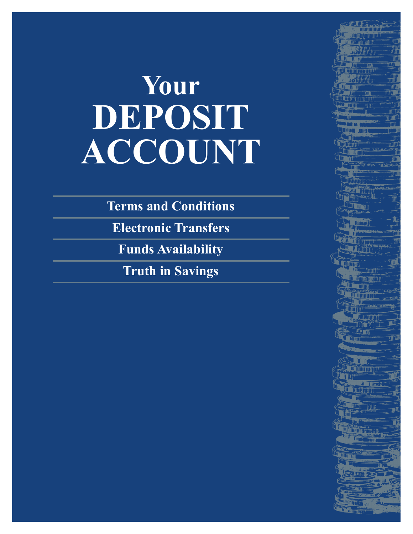# **Your DEPOSIT ACCOUNT**

**Terms and Conditions** 

**Electronic Transfers** 

**Funds Availability** 

**Truth in Savings**

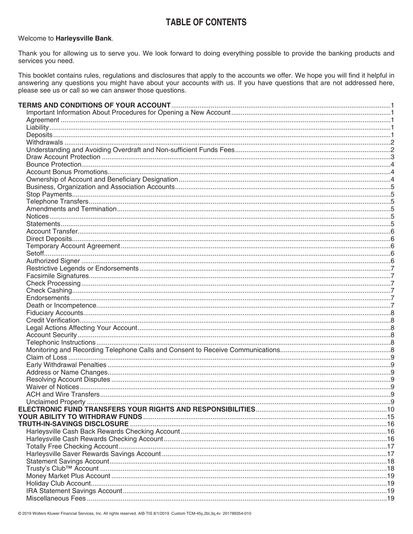# **TABLE OF CONTENTS**

## Welcome to Harleysville Bank.

Thank you for allowing us to serve you. We look forward to doing everything possible to provide the banking products and services you need.

This booklet contains rules, regulations and disclosures that apply to the accounts we offer. We hope you will find it helpful in answering any questions you might have about your accounts with us. If you have questions that are not addressed here, please see us or call so we can answer those questions.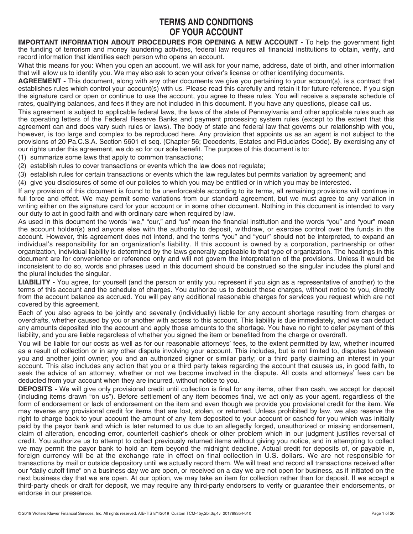# **TERMS AND CONDITIONS OF YOUR ACCOUNT**

<span id="page-2-0"></span>**IMPORTANT INFORMATION ABOUT PROCEDURES FOR OPENING A NEW ACCOUNT -** To help the government fight the funding of terrorism and money laundering activities, federal law requires all financial institutions to obtain, verify, and record information that identifies each person who opens an account.

What this means for you: When you open an account, we will ask for your name, address, date of birth, and other information that will allow us to identify you. We may also ask to scan your driver's license or other identifying documents.

**AGREEMENT -** This document, along with any other documents we give you pertaining to your account(s), is a contract that establishes rules which control your account(s) with us. Please read this carefully and retain it for future reference. If you sign the signature card or open or continue to use the account, you agree to these rules. You will receive a separate schedule of rates, qualifying balances, and fees if they are not included in this document. If you have any questions, please call us.

This agreement is subject to applicable federal laws, the laws of the state of Pennsylvania and other applicable rules such as the operating letters of the Federal Reserve Banks and payment processing system rules (except to the extent that this agreement can and does vary such rules or laws). The body of state and federal law that governs our relationship with you, however, is too large and complex to be reproduced here. Any provision that appoints us as an agent is not subject to the provisions of 20 Pa.C.S.A. Section 5601 et seq. (Chapter 56; Decedents, Estates and Fiduciaries Code). By exercising any of our rights under this agreement, we do so for our sole benefit. The purpose of this document is to:

(1) summarize some laws that apply to common transactions;

(2) establish rules to cover transactions or events which the law does not regulate;

(3) establish rules for certain transactions or events which the law regulates but permits variation by agreement; and

(4) give you disclosures of some of our policies to which you may be entitled or in which you may be interested.

If any provision of this document is found to be unenforceable according to its terms, all remaining provisions will continue in full force and effect. We may permit some variations from our standard agreement, but we must agree to any variation in writing either on the signature card for your account or in some other document. Nothing in this document is intended to vary our duty to act in good faith and with ordinary care when required by law.

As used in this document the words "we," "our," and "us" mean the financial institution and the words "you" and "your" mean the account holder(s) and anyone else with the authority to deposit, withdraw, or exercise control over the funds in the account. However, this agreement does not intend, and the terms "you" and "your" should not be interpreted, to expand an individual's responsibility for an organization's liability. If this account is owned by a corporation, partnership or other organization, individual liability is determined by the laws generally applicable to that type of organization. The headings in this document are for convenience or reference only and will not govern the interpretation of the provisions. Unless it would be inconsistent to do so, words and phrases used in this document should be construed so the singular includes the plural and the plural includes the singular.

**LIABILITY -** You agree, for yourself (and the person or entity you represent if you sign as a representative of another) to the terms of this account and the schedule of charges. You authorize us to deduct these charges, without notice to you, directly from the account balance as accrued. You will pay any additional reasonable charges for services you request which are not covered by this agreement.

Each of you also agrees to be jointly and severally (individually) liable for any account shortage resulting from charges or overdrafts, whether caused by you or another with access to this account. This liability is due immediately, and we can deduct any amounts deposited into the account and apply those amounts to the shortage. You have no right to defer payment of this liability, and you are liable regardless of whether you signed the item or benefited from the charge or overdraft.

You will be liable for our costs as well as for our reasonable attorneys' fees, to the extent permitted by law, whether incurred as a result of collection or in any other dispute involving your account. This includes, but is not limited to, disputes between you and another joint owner; you and an authorized signer or similar party; or a third party claiming an interest in your account. This also includes any action that you or a third party takes regarding the account that causes us, in good faith, to seek the advice of an attorney, whether or not we become involved in the dispute. All costs and attorneys' fees can be deducted from your account when they are incurred, without notice to you.

**DEPOSITS -** We will give only provisional credit until collection is final for any items, other than cash, we accept for deposit (including items drawn "on us"). Before settlement of any item becomes final, we act only as your agent, regardless of the form of endorsement or lack of endorsement on the item and even though we provide you provisional credit for the item. We may reverse any provisional credit for items that are lost, stolen, or returned. Unless prohibited by law, we also reserve the right to charge back to your account the amount of any item deposited to your account or cashed for you which was initially paid by the payor bank and which is later returned to us due to an allegedly forged, unauthorized or missing endorsement, claim of alteration, encoding error, counterfeit cashier's check or other problem which in our judgment justifies reversal of credit. You authorize us to attempt to collect previously returned items without giving you notice, and in attempting to collect we may permit the payor bank to hold an item beyond the midnight deadline. Actual credit for deposits of, or payable in, foreign currency will be at the exchange rate in effect on final collection in U.S. dollars. We are not responsible for transactions by mail or outside depository until we actually record them. We will treat and record all transactions received after our "daily cutoff time" on a business day we are open, or received on a day we are not open for business, as if initiated on the next business day that we are open. At our option, we may take an item for collection rather than for deposit. If we accept a third-party check or draft for deposit, we may require any third-party endorsers to verify or guarantee their endorsements, or endorse in our presence.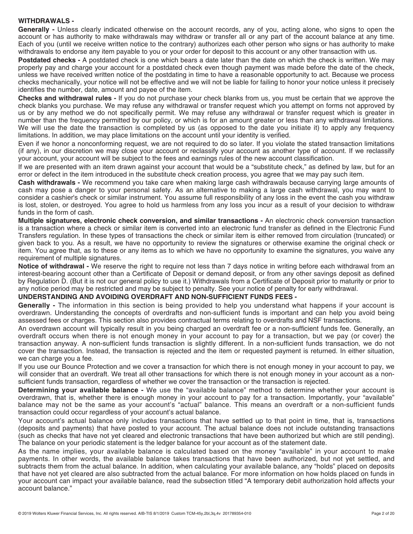#### <span id="page-3-0"></span>**WITHDRAWALS -**

**Generally -** Unless clearly indicated otherwise on the account records, any of you, acting alone, who signs to open the account or has authority to make withdrawals may withdraw or transfer all or any part of the account balance at any time. Each of you (until we receive written notice to the contrary) authorizes each other person who signs or has authority to make withdrawals to endorse any item payable to you or your order for deposit to this account or any other transaction with us.

**Postdated checks -** A postdated check is one which bears a date later than the date on which the check is written. We may properly pay and charge your account for a postdated check even though payment was made before the date of the check, unless we have received written notice of the postdating in time to have a reasonable opportunity to act. Because we process checks mechanically, your notice will not be effective and we will not be liable for failing to honor your notice unless it precisely identifies the number, date, amount and payee of the item.

**Checks and withdrawal rules -** If you do not purchase your check blanks from us, you must be certain that we approve the check blanks you purchase. We may refuse any withdrawal or transfer request which you attempt on forms not approved by us or by any method we do not specifically permit. We may refuse any withdrawal or transfer request which is greater in number than the frequency permitted by our policy, or which is for an amount greater or less than any withdrawal limitations. We will use the date the transaction is completed by us (as opposed to the date you initiate it) to apply any frequency limitations. In addition, we may place limitations on the account until your identity is verified.

Even if we honor a nonconforming request, we are not required to do so later. If you violate the stated transaction limitations (if any), in our discretion we may close your account or reclassify your account as another type of account. If we reclassify your account, your account will be subject to the fees and earnings rules of the new account classification.

If we are presented with an item drawn against your account that would be a "substitute check," as defined by law, but for an error or defect in the item introduced in the substitute check creation process, you agree that we may pay such item.

**Cash withdrawals -** We recommend you take care when making large cash withdrawals because carrying large amounts of cash may pose a danger to your personal safety. As an alternative to making a large cash withdrawal, you may want to consider a cashier's check or similar instrument. You assume full responsibility of any loss in the event the cash you withdraw is lost, stolen, or destroyed. You agree to hold us harmless from any loss you incur as a result of your decision to withdraw funds in the form of cash.

**Multiple signatures, electronic check conversion, and similar transactions -** An electronic check conversion transaction is a transaction where a check or similar item is converted into an electronic fund transfer as defined in the Electronic Fund Transfers regulation. In these types of transactions the check or similar item is either removed from circulation (truncated) or given back to you. As a result, we have no opportunity to review the signatures or otherwise examine the original check or item. You agree that, as to these or any items as to which we have no opportunity to examine the signatures, you waive any requirement of multiple signatures.

**Notice of withdrawal -** We reserve the right to require not less than 7 days notice in writing before each withdrawal from an interest-bearing account other than a Certificate of Deposit or demand deposit, or from any other savings deposit as defined by Regulation D. (But it is not our general policy to use it.) Withdrawals from a Certificate of Deposit prior to maturity or prior to any notice period may be restricted and may be subject to penalty. See your notice of penalty for early withdrawal.

# **UNDERSTANDING AND AVOIDING OVERDRAFT AND NON-SUFFICIENT FUNDS FEES -**

**Generally -** The information in this section is being provided to help you understand what happens if your account is overdrawn. Understanding the concepts of overdrafts and non-sufficient funds is important and can help you avoid being assessed fees or charges. This section also provides contractual terms relating to overdrafts and NSF transactions.

An overdrawn account will typically result in you being charged an overdraft fee or a non-sufficient funds fee. Generally, an overdraft occurs when there is not enough money in your account to pay for a transaction, but we pay (or cover) the transaction anyway. A non-sufficient funds transaction is slightly different. In a non-sufficient funds transaction, we do not cover the transaction. Instead, the transaction is rejected and the item or requested payment is returned. In either situation, we can charge you a fee.

If you use our Bounce Protection and we cover a transaction for which there is not enough money in your account to pay, we will consider that an overdraft. We treat all other transactions for which there is not enough money in your account as a nonsufficient funds transaction, regardless of whether we cover the transaction or the transaction is rejected.

**Determining your available balance -** We use the "available balance" method to determine whether your account is overdrawn, that is, whether there is enough money in your account to pay for a transaction. Importantly, your "available" balance may not be the same as your account's "actual" balance. This means an overdraft or a non-sufficient funds transaction could occur regardless of your account's actual balance.

Your account's actual balance only includes transactions that have settled up to that point in time, that is, transactions (deposits and payments) that have posted to your account. The actual balance does not include outstanding transactions (such as checks that have not yet cleared and electronic transactions that have been authorized but which are still pending). The balance on your periodic statement is the ledger balance for your account as of the statement date.

As the name implies, your available balance is calculated based on the money "available" in your account to make payments. In other words, the available balance takes transactions that have been authorized, but not yet settled, and subtracts them from the actual balance. In addition, when calculating your available balance, any "holds" placed on deposits that have not yet cleared are also subtracted from the actual balance. For more information on how holds placed on funds in your account can impact your available balance, read the subsection titled "A temporary debit authorization hold affects your account balance."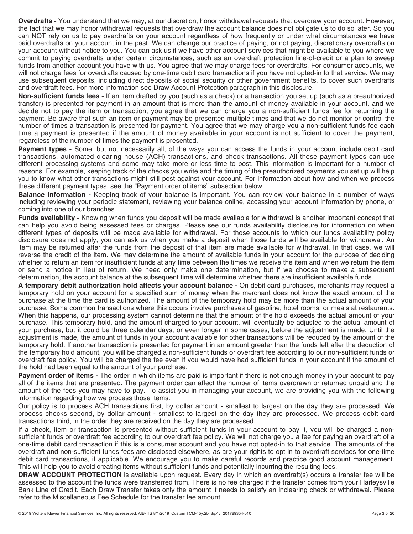<span id="page-4-0"></span>**Overdrafts -** You understand that we may, at our discretion, honor withdrawal requests that overdraw your account. However, the fact that we may honor withdrawal requests that overdraw the account balance does not obligate us to do so later. So you can NOT rely on us to pay overdrafts on your account regardless of how frequently or under what circumstances we have paid overdrafts on your account in the past. We can change our practice of paying, or not paying, discretionary overdrafts on your account without notice to you. You can ask us if we have other account services that might be available to you where we commit to paying overdrafts under certain circumstances, such as an overdraft protection line-of-credit or a plan to sweep funds from another account you have with us. You agree that we may charge fees for overdrafts. For consumer accounts, we will not charge fees for overdrafts caused by one-time debit card transactions if you have not opted-in to that service. We may use subsequent deposits, including direct deposits of social security or other government benefits, to cover such overdrafts and overdraft fees. For more information see Draw Account Protection paragraph in this disclosure.

**Non-sufficient funds fees -** If an item drafted by you (such as a check) or a transaction you set up (such as a preauthorized transfer) is presented for payment in an amount that is more than the amount of money available in your account, and we decide not to pay the item or transaction, you agree that we can charge you a non-sufficient funds fee for returning the payment. Be aware that such an item or payment may be presented multiple times and that we do not monitor or control the number of times a transaction is presented for payment. You agree that we may charge you a non-sufficient funds fee each time a payment is presented if the amount of money available in your account is not sufficient to cover the payment, regardless of the number of times the payment is presented.

**Payment types -** Some, but not necessarily all, of the ways you can access the funds in your account include debit card transactions, automated clearing house (ACH) transactions, and check transactions. All these payment types can use different processing systems and some may take more or less time to post. This information is important for a number of reasons. For example, keeping track of the checks you write and the timing of the preauthorized payments you set up will help you to know what other transactions might still post against your account. For information about how and when we process these different payment types, see the "Payment order of items" subsection below.

**Balance information -** Keeping track of your balance is important. You can review your balance in a number of ways including reviewing your periodic statement, reviewing your balance online, accessing your account information by phone, or coming into one of our branches.

**Funds availability -** Knowing when funds you deposit will be made available for withdrawal is another important concept that can help you avoid being assessed fees or charges. Please see our funds availability disclosure for information on when different types of deposits will be made available for withdrawal. For those accounts to which our funds availability policy disclosure does not apply, you can ask us when you make a deposit when those funds will be available for withdrawal. An item may be returned after the funds from the deposit of that item are made available for withdrawal. In that case, we will reverse the credit of the item. We may determine the amount of available funds in your account for the purpose of deciding whether to return an item for insufficient funds at any time between the times we receive the item and when we return the item or send a notice in lieu of return. We need only make one determination, but if we choose to make a subsequent determination, the account balance at the subsequent time will determine whether there are insufficient available funds.

**A temporary debit authorization hold affects your account balance -** On debit card purchases, merchants may request a temporary hold on your account for a specified sum of money when the merchant does not know the exact amount of the purchase at the time the card is authorized. The amount of the temporary hold may be more than the actual amount of your purchase. Some common transactions where this occurs involve purchases of gasoline, hotel rooms, or meals at restaurants. When this happens, our processing system cannot determine that the amount of the hold exceeds the actual amount of your purchase. This temporary hold, and the amount charged to your account, will eventually be adjusted to the actual amount of your purchase, but it could be three calendar days, or even longer in some cases, before the adjustment is made. Until the adjustment is made, the amount of funds in your account available for other transactions will be reduced by the amount of the temporary hold. If another transaction is presented for payment in an amount greater than the funds left after the deduction of the temporary hold amount, you will be charged a non-sufficient funds or overdraft fee according to our non-sufficient funds or overdraft fee policy. You will be charged the fee even if you would have had sufficient funds in your account if the amount of the hold had been equal to the amount of your purchase.

**Payment order of items -** The order in which items are paid is important if there is not enough money in your account to pay all of the items that are presented. The payment order can affect the number of items overdrawn or returned unpaid and the amount of the fees you may have to pay. To assist you in managing your account, we are providing you with the following information regarding how we process those items.

Our policy is to process ACH transactions first, by dollar amount - smallest to largest on the day they are processed. We process checks second, by dollar amount - smallest to largest on the day they are processed. We process debit card transactions third, in the order they are received on the day they are processed.

If a check, item or transaction is presented without sufficient funds in your account to pay it, you will be charged a nonsufficient funds or overdraft fee according to our overdraft fee policy. We will not charge you a fee for paying an overdraft of a one-time debit card transaction if this is a consumer account and you have not opted-in to that service. The amounts of the overdraft and non-sufficient funds fees are disclosed elsewhere, as are your rights to opt in to overdraft services for one-time debit card transactions, if applicable. We encourage you to make careful records and practice good account management. This will help you to avoid creating items without sufficient funds and potentially incurring the resulting fees.

**DRAW ACCOUNT PROTECTION** is available upon request. Every day in which an overdraft(s) occurs a transfer fee will be assessed to the account the funds were transferred from. There is no fee charged if the transfer comes from your Harleysville Bank Line of Credit. Each Draw Transfer takes only the amount it needs to satisfy an inclearing check or withdrawal. Please refer to the Miscellaneous Fee Schedule for the transfer fee amount.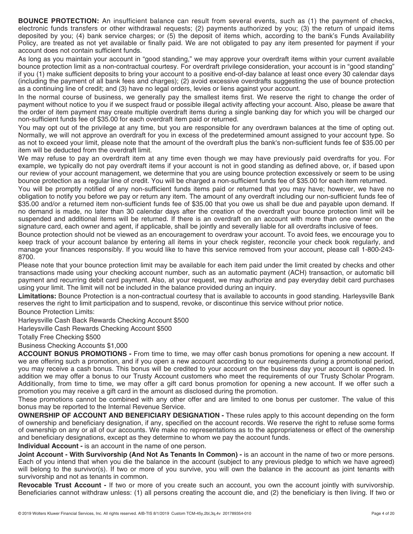<span id="page-5-0"></span>**BOUNCE PROTECTION:** An insufficient balance can result from several events, such as (1) the payment of checks, electronic funds transfers or other withdrawal requests; (2) payments authorized by you; (3) the return of unpaid items deposited by you; (4) bank service charges; or (5) the deposit of items which, according to the bank's Funds Availability Policy, are treated as not yet available or finally paid. We are not obligated to pay any item presented for payment if your account does not contain sufficient funds.

As long as you maintain your account in "good standing," we may approve your overdraft items within your current available bounce protection limit as a non-contractual courtesy. For overdraft privilege consideration, your account is in "good standing" if you (1) make sufficient deposits to bring your account to a positive end-of-day balance at least once every 30 calendar days (including the payment of all bank fees and charges); (2) avoid excessive overdrafts suggesting the use of bounce protection as a continuing line of credit; and (3) have no legal orders, levies or liens against your account.

In the normal course of business, we generally pay the smallest items first. We reserve the right to change the order of payment without notice to you if we suspect fraud or possible illegal activity affecting your account. Also, please be aware that the order of item payment may create multiple overdraft items during a single banking day for which you will be charged our non-sufficient funds fee of \$35.00 for each overdraft item paid or returned.

You may opt out of the privilege at any time, but you are responsible for any overdrawn balances at the time of opting out. Normally, we will not approve an overdraft for you in excess of the predetermined amount assigned to your account type. So as not to exceed your limit, please note that the amount of the overdraft plus the bank's non-sufficient funds fee of \$35.00 per item will be deducted from the overdraft limit.

We may refuse to pay an overdraft item at any time even though we may have previously paid overdrafts for you. For example, we typically do not pay overdraft items if your account is not in good standing as defined above, or, if based upon our review of your account management, we determine that you are using bounce protection excessively or seem to be using bounce protection as a regular line of credit. You will be charged a non-sufficient funds fee of \$35.00 for each item returned.

You will be promptly notified of any non-sufficient funds items paid or returned that you may have; however, we have no obligation to notify you before we pay or return any item. The amount of any overdraft including our non-sufficient funds fee of \$35.00 and/or a returned item non-sufficient funds fee of \$35.00 that you owe us shall be due and payable upon demand. If no demand is made, no later than 30 calendar days after the creation of the overdraft your bounce protection limit will be suspended and additional items will be returned. If there is an overdraft on an account with more than one owner on the signature card, each owner and agent, if applicable, shall be jointly and severally liable for all overdrafts inclusive of fees.

Bounce protection should not be viewed as an encouragement to overdraw your account. To avoid fees, we encourage you to keep track of your account balance by entering all items in your check register, reconcile your check book regularly, and manage your finances responsibly. If you would like to have this service removed from your account, please call 1-800-243- 8700.

Please note that your bounce protection limit may be available for each item paid under the limit created by checks and other transactions made using your checking account number, such as an automatic payment (ACH) transaction, or automatic bill payment and recurring debit card payment. Also, at your request, we may authorize and pay everyday debit card purchases using your limit. The limit will not be included in the balance provided during an inquiry.

**Limitations:** Bounce Protection is a non-contractual courtesy that is available to accounts in good standing. Harleysville Bank reserves the right to limit participation and to suspend, revoke, or discontinue this service without prior notice.

Bounce Protection Limits:

Harleysville Cash Back Rewards Checking Account \$500

Harleysville Cash Rewards Checking Account \$500

Totally Free Checking \$500

Business Checking Accounts \$1,000

**ACCOUNT BONUS PROMOTIONS -** From time to time, we may offer cash bonus promotions for opening a new account. If we are offering such a promotion, and if you open a new account according to our requirements during a promotional period, you may receive a cash bonus. This bonus will be credited to your account on the business day your account is opened. In addition we may offer a bonus to our Trusty Account customers who meet the requirements of our Trusty Scholar Program. Additionally, from time to time, we may offer a gift card bonus promotion for opening a new account. If we offer such a promotion you may receive a gift card in the amount as disclosed during the promotion.

These promotions cannot be combined with any other offer and are limited to one bonus per customer. The value of this bonus may be reported to the Internal Revenue Service.

**OWNERSHIP OF ACCOUNT AND BENEFICIARY DESIGNATION -** These rules apply to this account depending on the form of ownership and beneficiary designation, if any, specified on the account records. We reserve the right to refuse some forms of ownership on any or all of our accounts. We make no representations as to the appropriateness or effect of the ownership and beneficiary designations, except as they determine to whom we pay the account funds.

**Individual Account -** is an account in the name of one person.

**Joint Account - With Survivorship (And Not As Tenants In Common) -** is an account in the name of two or more persons. Each of you intend that when you die the balance in the account (subject to any previous pledge to which we have agreed) will belong to the survivor(s). If two or more of you survive, you will own the balance in the account as joint tenants with survivorship and not as tenants in common.

**Revocable Trust Account -** If two or more of you create such an account, you own the account jointly with survivorship. Beneficiaries cannot withdraw unless: (1) all persons creating the account die, and (2) the beneficiary is then living. If two or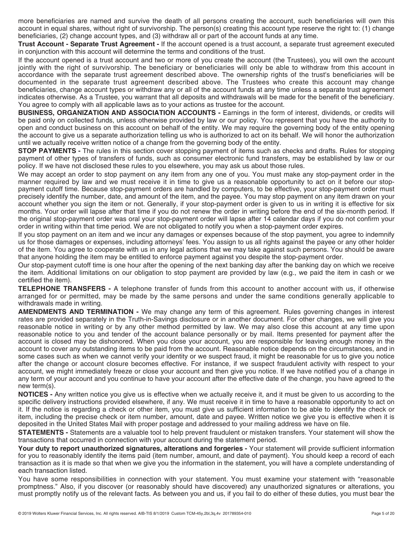<span id="page-6-0"></span>more beneficiaries are named and survive the death of all persons creating the account, such beneficiaries will own this account in equal shares, without right of survivorship. The person(s) creating this account type reserve the right to: (1) change beneficiaries, (2) change account types, and (3) withdraw all or part of the account funds at any time.

**Trust Account - Separate Trust Agreement -** If the account opened is a trust account, a separate trust agreement executed in conjunction with this account will determine the terms and conditions of the trust.

If the account opened is a trust account and two or more of you create the account (the Trustees), you will own the account jointly with the right of survivorship. The beneficiary or beneficiaries will only be able to withdraw from this account in accordance with the separate trust agreement described above. The ownership rights of the trust's beneficiaries will be documented in the separate trust agreement described above. The Trustees who create this account may change beneficiaries, change account types or withdraw any or all of the account funds at any time unless a separate trust agreement indicates otherwise. As a Trustee, you warrant that all deposits and withdrawals will be made for the benefit of the beneficiary. You agree to comply with all applicable laws as to your actions as trustee for the account.

**BUSINESS, ORGANIZATION AND ASSOCIATION ACCOUNTS -** Earnings in the form of interest, dividends, or credits will be paid only on collected funds, unless otherwise provided by law or our policy. You represent that you have the authority to open and conduct business on this account on behalf of the entity. We may require the governing body of the entity opening the account to give us a separate authorization telling us who is authorized to act on its behalf. We will honor the authorization until we actually receive written notice of a change from the governing body of the entity.

**STOP PAYMENTS -** The rules in this section cover stopping payment of items such as checks and drafts. Rules for stopping payment of other types of transfers of funds, such as consumer electronic fund transfers, may be established by law or our policy. If we have not disclosed these rules to you elsewhere, you may ask us about those rules.

We may accept an order to stop payment on any item from any one of you. You must make any stop-payment order in the manner required by law and we must receive it in time to give us a reasonable opportunity to act on it before our stoppayment cutoff time. Because stop-payment orders are handled by computers, to be effective, your stop-payment order must precisely identify the number, date, and amount of the item, and the payee. You may stop payment on any item drawn on your account whether you sign the item or not. Generally, if your stop-payment order is given to us in writing it is effective for six months. Your order will lapse after that time if you do not renew the order in writing before the end of the six-month period. If the original stop-payment order was oral your stop-payment order will lapse after 14 calendar days if you do not confirm your order in writing within that time period. We are not obligated to notify you when a stop-payment order expires.

If you stop payment on an item and we incur any damages or expenses because of the stop payment, you agree to indemnify us for those damages or expenses, including attorneys' fees. You assign to us all rights against the payee or any other holder of the item. You agree to cooperate with us in any legal actions that we may take against such persons. You should be aware that anyone holding the item may be entitled to enforce payment against you despite the stop-payment order.

Our stop-payment cutoff time is one hour after the opening of the next banking day after the banking day on which we receive the item. Additional limitations on our obligation to stop payment are provided by law (e.g., we paid the item in cash or we certified the item).

**TELEPHONE TRANSFERS -** A telephone transfer of funds from this account to another account with us, if otherwise arranged for or permitted, may be made by the same persons and under the same conditions generally applicable to withdrawals made in writing.

**AMENDMENTS AND TERMINATION -** We may change any term of this agreement. Rules governing changes in interest rates are provided separately in the Truth-in-Savings disclosure or in another document. For other changes, we will give you reasonable notice in writing or by any other method permitted by law. We may also close this account at any time upon reasonable notice to you and tender of the account balance personally or by mail. Items presented for payment after the account is closed may be dishonored. When you close your account, you are responsible for leaving enough money in the account to cover any outstanding items to be paid from the account. Reasonable notice depends on the circumstances, and in some cases such as when we cannot verify your identity or we suspect fraud, it might be reasonable for us to give you notice after the change or account closure becomes effective. For instance, if we suspect fraudulent activity with respect to your account, we might immediately freeze or close your account and then give you notice. If we have notified you of a change in any term of your account and you continue to have your account after the effective date of the change, you have agreed to the new term(s).

**NOTICES -** Any written notice you give us is effective when we actually receive it, and it must be given to us according to the specific delivery instructions provided elsewhere, if any. We must receive it in time to have a reasonable opportunity to act on it. If the notice is regarding a check or other item, you must give us sufficient information to be able to identify the check or item, including the precise check or item number, amount, date and payee. Written notice we give you is effective when it is deposited in the United States Mail with proper postage and addressed to your mailing address we have on file.

**STATEMENTS -** Statements are a valuable tool to help prevent fraudulent or mistaken transfers. Your statement will show the transactions that occurred in connection with your account during the statement period.

**Your duty to report unauthorized signatures, alterations and forgeries -** Your statement will provide sufficient information for you to reasonably identify the items paid (item number, amount, and date of payment). You should keep a record of each transaction as it is made so that when we give you the information in the statement, you will have a complete understanding of each transaction listed.

You have some responsibilities in connection with your statement. You must examine your statement with "reasonable promptness." Also, if you discover (or reasonably should have discovered) any unauthorized signatures or alterations, you must promptly notify us of the relevant facts. As between you and us, if you fail to do either of these duties, you must bear the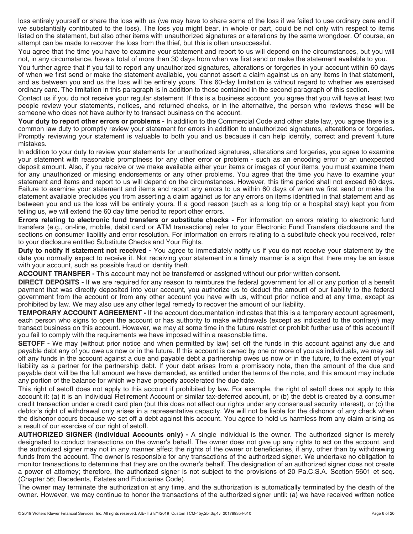<span id="page-7-0"></span>loss entirely yourself or share the loss with us (we may have to share some of the loss if we failed to use ordinary care and if we substantially contributed to the loss). The loss you might bear, in whole or part, could be not only with respect to items listed on the statement, but also other items with unauthorized signatures or alterations by the same wrongdoer. Of course, an attempt can be made to recover the loss from the thief, but this is often unsuccessful.

You agree that the time you have to examine your statement and report to us will depend on the circumstances, but you will not, in any circumstance, have a total of more than 30 days from when we first send or make the statement available to you.

You further agree that if you fail to report any unauthorized signatures, alterations or forgeries in your account within 60 days of when we first send or make the statement available, you cannot assert a claim against us on any items in that statement, and as between you and us the loss will be entirely yours. This 60-day limitation is without regard to whether we exercised ordinary care. The limitation in this paragraph is in addition to those contained in the second paragraph of this section.

Contact us if you do not receive your regular statement. If this is a business account, you agree that you will have at least two people review your statements, notices, and returned checks, or in the alternative, the person who reviews these will be someone who does not have authority to transact business on the account.

Your duty to report other errors or problems - In addition to the Commercial Code and other state law, you agree there is a common law duty to promptly review your statement for errors in addition to unauthorized signatures, alterations or forgeries. Promptly reviewing your statement is valuable to both you and us because it can help identify, correct and prevent future mistakes.

In addition to your duty to review your statements for unauthorized signatures, alterations and forgeries, you agree to examine your statement with reasonable promptness for any other error or problem - such as an encoding error or an unexpected deposit amount. Also, if you receive or we make available either your items or images of your items, you must examine them for any unauthorized or missing endorsements or any other problems. You agree that the time you have to examine your statement and items and report to us will depend on the circumstances. However, this time period shall not exceed 60 days. Failure to examine your statement and items and report any errors to us within 60 days of when we first send or make the statement available precludes you from asserting a claim against us for any errors on items identified in that statement and as between you and us the loss will be entirely yours. If a good reason (such as a long trip or a hospital stay) kept you from telling us, we will extend the 60 day time period to report other errors.

**Errors relating to electronic fund transfers or substitute checks -** For information on errors relating to electronic fund transfers (e.g., on-line, mobile, debit card or ATM transactions) refer to your Electronic Fund Transfers disclosure and the sections on consumer liability and error resolution. For information on errors relating to a substitute check you received, refer to your disclosure entitled Substitute Checks and Your Rights.

**Duty to notify if statement not received -** You agree to immediately notify us if you do not receive your statement by the date you normally expect to receive it. Not receiving your statement in a timely manner is a sign that there may be an issue with your account, such as possible fraud or identity theft.

**ACCOUNT TRANSFER -** This account may not be transferred or assigned without our prior written consent.

**DIRECT DEPOSITS -** If we are required for any reason to reimburse the federal government for all or any portion of a benefit payment that was directly deposited into your account, you authorize us to deduct the amount of our liability to the federal government from the account or from any other account you have with us, without prior notice and at any time, except as prohibited by law. We may also use any other legal remedy to recover the amount of our liability.

**TEMPORARY ACCOUNT AGREEMENT -** If the account documentation indicates that this is a temporary account agreement, each person who signs to open the account or has authority to make withdrawals (except as indicated to the contrary) may transact business on this account. However, we may at some time in the future restrict or prohibit further use of this account if you fail to comply with the requirements we have imposed within a reasonable time.

**SETOFF** - We may (without prior notice and when permitted by law) set off the funds in this account against any due and payable debt any of you owe us now or in the future. If this account is owned by one or more of you as individuals, we may set off any funds in the account against a due and payable debt a partnership owes us now or in the future, to the extent of your liability as a partner for the partnership debt. If your debt arises from a promissory note, then the amount of the due and payable debt will be the full amount we have demanded, as entitled under the terms of the note, and this amount may include any portion of the balance for which we have properly accelerated the due date.

This right of setoff does not apply to this account if prohibited by law. For example, the right of setoff does not apply to this account if: (a) it is an Individual Retirement Account or similar tax-deferred account, or (b) the debt is created by a consumer credit transaction under a credit card plan (but this does not affect our rights under any consensual security interest), or (c) the debtor's right of withdrawal only arises in a representative capacity. We will not be liable for the dishonor of any check when the dishonor occurs because we set off a debt against this account. You agree to hold us harmless from any claim arising as a result of our exercise of our right of setoff.

**AUTHORIZED SIGNER (Individual Accounts only) -** A single individual is the owner. The authorized signer is merely designated to conduct transactions on the owner's behalf. The owner does not give up any rights to act on the account, and the authorized signer may not in any manner affect the rights of the owner or beneficiaries, if any, other than by withdrawing funds from the account. The owner is responsible for any transactions of the authorized signer. We undertake no obligation to monitor transactions to determine that they are on the owner's behalf. The designation of an authorized signer does not create a power of attorney; therefore, the authorized signer is not subject to the provisions of 20 Pa.C.S.A. Section 5601 et seq. (Chapter 56; Decedents, Estates and Fiduciaries Code).

The owner may terminate the authorization at any time, and the authorization is automatically terminated by the death of the owner. However, we may continue to honor the transactions of the authorized signer until: (a) we have received written notice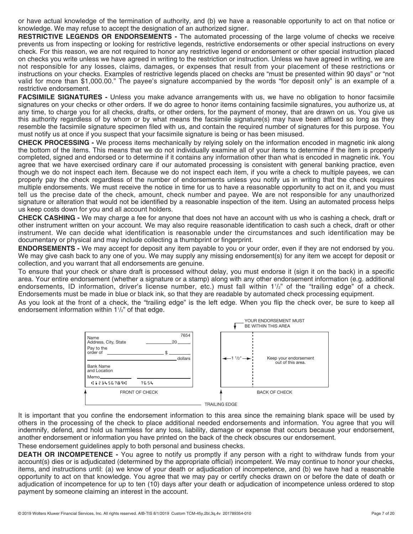<span id="page-8-0"></span>or have actual knowledge of the termination of authority, and (b) we have a reasonable opportunity to act on that notice or knowledge. We may refuse to accept the designation of an authorized signer.

**RESTRICTIVE LEGENDS OR ENDORSEMENTS -** The automated processing of the large volume of checks we receive prevents us from inspecting or looking for restrictive legends, restrictive endorsements or other special instructions on every check. For this reason, we are not required to honor any restrictive legend or endorsement or other special instruction placed on checks you write unless we have agreed in writing to the restriction or instruction. Unless we have agreed in writing, we are not responsible for any losses, claims, damages, or expenses that result from your placement of these restrictions or instructions on your checks. Examples of restrictive legends placed on checks are "must be presented within 90 days" or "not valid for more than \$1,000.00." The payee's signature accompanied by the words "for deposit only" is an example of a restrictive endorsement.

**FACSIMILE SIGNATURES -** Unless you make advance arrangements with us, we have no obligation to honor facsimile signatures on your checks or other orders. If we do agree to honor items containing facsimile signatures, you authorize us, at any time, to charge you for all checks, drafts, or other orders, for the payment of money, that are drawn on us. You give us this authority regardless of by whom or by what means the facsimile signature(s) may have been affixed so long as they resemble the facsimile signature specimen filed with us, and contain the required number of signatures for this purpose. You must notify us at once if you suspect that your facsimile signature is being or has been misused.

**CHECK PROCESSING -** We process items mechanically by relying solely on the information encoded in magnetic ink along the bottom of the items. This means that we do not individually examine all of your items to determine if the item is properly completed, signed and endorsed or to determine if it contains any information other than what is encoded in magnetic ink. You agree that we have exercised ordinary care if our automated processing is consistent with general banking practice, even though we do not inspect each item. Because we do not inspect each item, if you write a check to multiple payees, we can properly pay the check regardless of the number of endorsements unless you notify us in writing that the check requires multiple endorsements. We must receive the notice in time for us to have a reasonable opportunity to act on it, and you must tell us the precise date of the check, amount, check number and payee. We are not responsible for any unauthorized signature or alteration that would not be identified by a reasonable inspection of the item. Using an automated process helps us keep costs down for you and all account holders.

**CHECK CASHING -** We may charge a fee for anyone that does not have an account with us who is cashing a check, draft or other instrument written on your account. We may also require reasonable identification to cash such a check, draft or other instrument. We can decide what identification is reasonable under the circumstances and such identification may be documentary or physical and may include collecting a thumbprint or fingerprint.

**ENDORSEMENTS -** We may accept for deposit any item payable to you or your order, even if they are not endorsed by you. We may give cash back to any one of you. We may supply any missing endorsement(s) for any item we accept for deposit or collection, and you warrant that all endorsements are genuine.

To ensure that your check or share draft is processed without delay, you must endorse it (sign it on the back) in a specific area. Your entire endorsement (whether a signature or a stamp) along with any other endorsement information (e.g. additional endorsements, ID information, driver's license number, etc.) must fall within  $1/z$ " of the "trailing edge" of a check. Endorsements must be made in blue or black ink, so that they are readable by automated check processing equipment.

As you look at the front of a check, the "trailing edge" is the left edge. When you flip the check over, be sure to keep all endorsement information within  $1\frac{1}{2}$ " of that edge.



It is important that you confine the endorsement information to this area since the remaining blank space will be used by others in the processing of the check to place additional needed endorsements and information. You agree that you will indemnify, defend, and hold us harmless for any loss, liability, damage or expense that occurs because your endorsement, another endorsement or information you have printed on the back of the check obscures our endorsement.

These endorsement guidelines apply to both personal and business checks.

**DEATH OR INCOMPETENCE -** You agree to notify us promptly if any person with a right to withdraw funds from your account(s) dies or is adjudicated (determined by the appropriate official) incompetent. We may continue to honor your checks, items, and instructions until: (a) we know of your death or adjudication of incompetence, and (b) we have had a reasonable opportunity to act on that knowledge. You agree that we may pay or certify checks drawn on or before the date of death or adjudication of incompetence for up to ten (10) days after your death or adjudication of incompetence unless ordered to stop payment by someone claiming an interest in the account.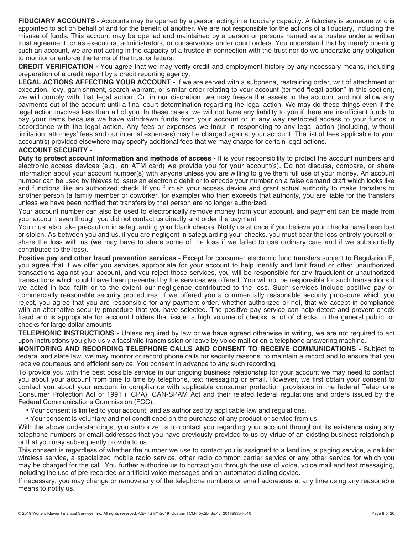<span id="page-9-0"></span>**FIDUCIARY ACCOUNTS** - Accounts may be opened by a person acting in a fiduciary capacity. A fiduciary is someone who is appointed to act on behalf of and for the benefit of another. We are not responsible for the actions of a fiduciary, including the misuse of funds. This account may be opened and maintained by a person or persons named as a trustee under a written trust agreement, or as executors, administrators, or conservators under court orders. You understand that by merely opening such an account, we are not acting in the capacity of a trustee in connection with the trust nor do we undertake any obligation to monitor or enforce the terms of the trust or letters.

**CREDIT VERIFICATION -** You agree that we may verify credit and employment history by any necessary means, including preparation of a credit report by a credit reporting agency.

**LEGAL ACTIONS AFFECTING YOUR ACCOUNT -** If we are served with a subpoena, restraining order, writ of attachment or execution, levy, garnishment, search warrant, or similar order relating to your account (termed "legal action" in this section), we will comply with that legal action. Or, in our discretion, we may freeze the assets in the account and not allow any payments out of the account until a final court determination regarding the legal action. We may do these things even if the legal action involves less than all of you. In these cases, we will not have any liability to you if there are insufficient funds to pay your items because we have withdrawn funds from your account or in any way restricted access to your funds in accordance with the legal action. Any fees or expenses we incur in responding to any legal action (including, without limitation, attorneys' fees and our internal expenses) may be charged against your account. The list of fees applicable to your account(s) provided elsewhere may specify additional fees that we may charge for certain legal actions.

#### **ACCOUNT SECURITY -**

**Duty to protect account information and methods of access -** It is your responsibility to protect the account numbers and electronic access devices (e.g., an ATM card) we provide you for your account(s). Do not discuss, compare, or share information about your account number(s) with anyone unless you are willing to give them full use of your money. An account number can be used by thieves to issue an electronic debit or to encode your number on a false demand draft which looks like and functions like an authorized check. If you furnish your access device and grant actual authority to make transfers to another person (a family member or coworker, for example) who then exceeds that authority, you are liable for the transfers unless we have been notified that transfers by that person are no longer authorized.

Your account number can also be used to electronically remove money from your account, and payment can be made from your account even though you did not contact us directly and order the payment.

You must also take precaution in safeguarding your blank checks. Notify us at once if you believe your checks have been lost or stolen. As between you and us, if you are negligent in safeguarding your checks, you must bear the loss entirely yourself or share the loss with us (we may have to share some of the loss if we failed to use ordinary care and if we substantially contributed to the loss).

**Positive pay and other fraud prevention services -** Except for consumer electronic fund transfers subject to Regulation E, you agree that if we offer you services appropriate for your account to help identify and limit fraud or other unauthorized transactions against your account, and you reject those services, you will be responsible for any fraudulent or unauthorized transactions which could have been prevented by the services we offered. You will not be responsible for such transactions if we acted in bad faith or to the extent our negligence contributed to the loss. Such services include positive pay or commercially reasonable security procedures. If we offered you a commercially reasonable security procedure which you reject, you agree that you are responsible for any payment order, whether authorized or not, that we accept in compliance with an alternative security procedure that you have selected. The positive pay service can help detect and prevent check fraud and is appropriate for account holders that issue: a high volume of checks, a lot of checks to the general public, or checks for large dollar amounts.

**TELEPHONIC INSTRUCTIONS -** Unless required by law or we have agreed otherwise in writing, we are not required to act upon instructions you give us via facsimile transmission or leave by voice mail or on a telephone answering machine.

**MONITORING AND RECORDING TELEPHONE CALLS AND CONSENT TO RECEIVE COMMUNICATIONS -** Subject to federal and state law, we may monitor or record phone calls for security reasons, to maintain a record and to ensure that you receive courteous and efficient service. You consent in advance to any such recording.

To provide you with the best possible service in our ongoing business relationship for your account we may need to contact you about your account from time to time by telephone, text messaging or email. However, we first obtain your consent to contact you about your account in compliance with applicable consumer protection provisions in the federal Telephone Consumer Protection Act of 1991 (TCPA), CAN-SPAM Act and their related federal regulations and orders issued by the Federal Communications Commission (FCC).

• Your consent is limited to your account, and as authorized by applicable law and regulations.

• Your consent is voluntary and not conditioned on the purchase of any product or service from us.

With the above understandings, you authorize us to contact you regarding your account throughout its existence using any telephone numbers or email addresses that you have previously provided to us by virtue of an existing business relationship or that you may subsequently provide to us.

This consent is regardless of whether the number we use to contact you is assigned to a landline, a paging service, a cellular wireless service, a specialized mobile radio service, other radio common carrier service or any other service for which you may be charged for the call. You further authorize us to contact you through the use of voice, voice mail and text messaging, including the use of pre-recorded or artificial voice messages and an automated dialing device.

If necessary, you may change or remove any of the telephone numbers or email addresses at any time using any reasonable means to notify us.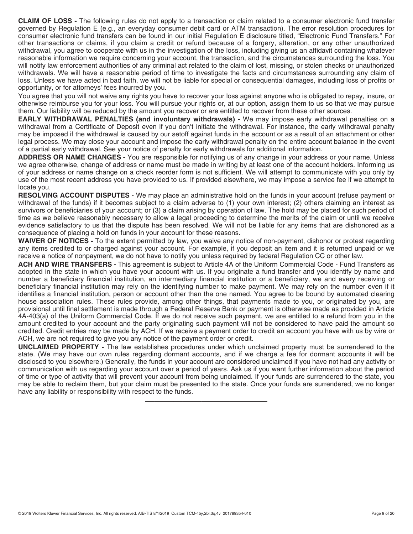<span id="page-10-0"></span>**CLAIM OF LOSS -** The following rules do not apply to a transaction or claim related to a consumer electronic fund transfer governed by Regulation E (e.g., an everyday consumer debit card or ATM transaction). The error resolution procedures for consumer electronic fund transfers can be found in our initial Regulation E disclosure titled, "Electronic Fund Transfers." For other transactions or claims, if you claim a credit or refund because of a forgery, alteration, or any other unauthorized withdrawal, you agree to cooperate with us in the investigation of the loss, including giving us an affidavit containing whatever reasonable information we require concerning your account, the transaction, and the circumstances surrounding the loss. You will notify law enforcement authorities of any criminal act related to the claim of lost, missing, or stolen checks or unauthorized withdrawals. We will have a reasonable period of time to investigate the facts and circumstances surrounding any claim of loss. Unless we have acted in bad faith, we will not be liable for special or consequential damages, including loss of profits or opportunity, or for attorneys' fees incurred by you.

You agree that you will not waive any rights you have to recover your loss against anyone who is obligated to repay, insure, or otherwise reimburse you for your loss. You will pursue your rights or, at our option, assign them to us so that we may pursue them. Our liability will be reduced by the amount you recover or are entitled to recover from these other sources.

**EARLY WITHDRAWAL PENALTIES (and involuntary withdrawals) -** We may impose early withdrawal penalties on a withdrawal from a Certificate of Deposit even if you don't initiate the withdrawal. For instance, the early withdrawal penalty may be imposed if the withdrawal is caused by our setoff against funds in the account or as a result of an attachment or other legal process. We may close your account and impose the early withdrawal penalty on the entire account balance in the event of a partial early withdrawal. See your notice of penalty for early withdrawals for additional information.

**ADDRESS OR NAME CHANGES -** You are responsible for notifying us of any change in your address or your name. Unless we agree otherwise, change of address or name must be made in writing by at least one of the account holders. Informing us of your address or name change on a check reorder form is not sufficient. We will attempt to communicate with you only by use of the most recent address you have provided to us. If provided elsewhere, we may impose a service fee if we attempt to locate you.

**RESOLVING ACCOUNT DISPUTES** - We may place an administrative hold on the funds in your account (refuse payment or withdrawal of the funds) if it becomes subject to a claim adverse to (1) your own interest; (2) others claiming an interest as survivors or beneficiaries of your account; or (3) a claim arising by operation of law. The hold may be placed for such period of time as we believe reasonably necessary to allow a legal proceeding to determine the merits of the claim or until we receive evidence satisfactory to us that the dispute has been resolved. We will not be liable for any items that are dishonored as a consequence of placing a hold on funds in your account for these reasons.

**WAIVER OF NOTICES -** To the extent permitted by law, you waive any notice of non-payment, dishonor or protest regarding any items credited to or charged against your account. For example, if you deposit an item and it is returned unpaid or we receive a notice of nonpayment, we do not have to notify you unless required by federal Regulation CC or other law.

**ACH AND WIRE TRANSFERS -** This agreement is subject to Article 4A of the Uniform Commercial Code - Fund Transfers as adopted in the state in which you have your account with us. If you originate a fund transfer and you identify by name and number a beneficiary financial institution, an intermediary financial institution or a beneficiary, we and every receiving or beneficiary financial institution may rely on the identifying number to make payment. We may rely on the number even if it identifies a financial institution, person or account other than the one named. You agree to be bound by automated clearing house association rules. These rules provide, among other things, that payments made to you, or originated by you, are provisional until final settlement is made through a Federal Reserve Bank or payment is otherwise made as provided in Article 4A-403(a) of the Uniform Commercial Code. If we do not receive such payment, we are entitled to a refund from you in the amount credited to your account and the party originating such payment will not be considered to have paid the amount so credited. Credit entries may be made by ACH. If we receive a payment order to credit an account you have with us by wire or ACH, we are not required to give you any notice of the payment order or credit.

**UNCLAIMED PROPERTY -** The law establishes procedures under which unclaimed property must be surrendered to the state. (We may have our own rules regarding dormant accounts, and if we charge a fee for dormant accounts it will be disclosed to you elsewhere.) Generally, the funds in your account are considered unclaimed if you have not had any activity or communication with us regarding your account over a period of years. Ask us if you want further information about the period of time or type of activity that will prevent your account from being unclaimed. If your funds are surrendered to the state, you may be able to reclaim them, but your claim must be presented to the state. Once your funds are surrendered, we no longer have any liability or responsibility with respect to the funds.

—————————————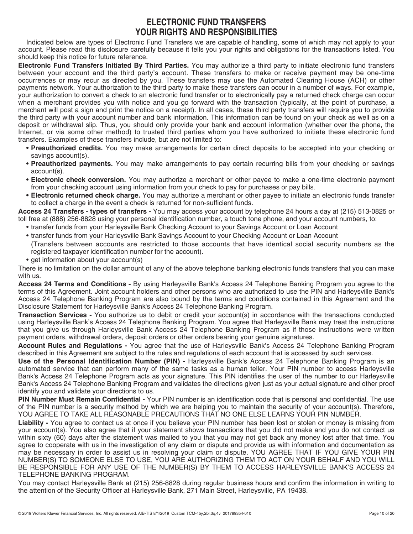# **ELECTRONIC FUND TRANSFERS YOUR RIGHTS AND RESPONSIBILITIES**

<span id="page-11-0"></span>Indicated below are types of Electronic Fund Transfers we are capable of handling, some of which may not apply to your account. Please read this disclosure carefully because it tells you your rights and obligations for the transactions listed. You should keep this notice for future reference.

**Electronic Fund Transfers Initiated By Third Parties.** You may authorize a third party to initiate electronic fund transfers between your account and the third party's account. These transfers to make or receive payment may be one-time occurrences or may recur as directed by you. These transfers may use the Automated Clearing House (ACH) or other payments network. Your authorization to the third party to make these transfers can occur in a number of ways. For example, your authorization to convert a check to an electronic fund transfer or to electronically pay a returned check charge can occur when a merchant provides you with notice and you go forward with the transaction (typically, at the point of purchase, a merchant will post a sign and print the notice on a receipt). In all cases, these third party transfers will require you to provide the third party with your account number and bank information. This information can be found on your check as well as on a deposit or withdrawal slip. Thus, you should only provide your bank and account information (whether over the phone, the Internet, or via some other method) to trusted third parties whom you have authorized to initiate these electronic fund transfers. Examples of these transfers include, but are not limited to:

- **Preauthorized credits.** You may make arrangements for certain direct deposits to be accepted into your checking or savings account(s).
- **Preauthorized payments.** You may make arrangements to pay certain recurring bills from your checking or savings account(s).
- **Electronic check conversion.** You may authorize a merchant or other payee to make a one-time electronic payment from your checking account using information from your check to pay for purchases or pay bills.
- **Electronic returned check charge.** You may authorize a merchant or other payee to initiate an electronic funds transfer to collect a charge in the event a check is returned for non-sufficient funds.

**Access 24 Transfers - types of transfers -** You may access your account by telephone 24 hours a day at (215) 513-0825 or toll free at (888) 256-8828 using your personal identification number, a touch tone phone, and your account numbers, to:

- transfer funds from your Harleysville Bank Checking Account to your Savings Account or Loan Account
- transfer funds from your Harleysville Bank Savings Account to your Checking Account or Loan Account (Transfers between accounts are restricted to those accounts that have identical social security numbers as the registered taxpayer identification number for the account).
- get information about your account(s)

There is no limitation on the dollar amount of any of the above telephone banking electronic funds transfers that you can make with us.

**Access 24 Terms and Conditions -** By using Harleysville Bank's Access 24 Telephone Banking Program you agree to the terms of this Agreement. Joint account holders and other persons who are authorized to use the PIN and Harleysville Bank's Access 24 Telephone Banking Program are also bound by the terms and conditions contained in this Agreement and the Disclosure Statement for Harleysville Bank's Access 24 Telephone Banking Program.

**Transaction Services -** You authorize us to debit or credit your account(s) in accordance with the transactions conducted using Harleysville Bank's Access 24 Telephone Banking Program. You agree that Harleysville Bank may treat the instructions that you give us through Harleysville Bank Access 24 Telephone Banking Program as if those instructions were written payment orders, withdrawal orders, deposit orders or other orders bearing your genuine signatures.

**Account Rules and Regulations -** You agree that the use of Harleysville Bank's Access 24 Telephone Banking Program described in this Agreement are subject to the rules and regulations of each account that is accessed by such services.

**Use of the Personal Identification Number (PIN) -** Harleysville Bank's Access 24 Telephone Banking Program is an automated service that can perform many of the same tasks as a human teller. Your PIN number to access Harleysville Bank's Access 24 Telephone Program acts as your signature. This PIN identifies the user of the number to our Harleysville Bank's Access 24 Telephone Banking Program and validates the directions given just as your actual signature and other proof identify you and validate your directions to us.

**PIN Number Must Remain Confidential -** Your PIN number is an identification code that is personal and confidential. The use of the PIN number is a security method by which we are helping you to maintain the security of your account(s). Therefore, YOU AGREE TO TAKE ALL REASONABLE PRECAUTIONS THAT NO ONE ELSE LEARNS YOUR PIN NUMBER.

**Liability -** You agree to contact us at once if you believe your PIN number has been lost or stolen or money is missing from your account(s). You also agree that if your statement shows transactions that you did not make and you do not contact us within sixty (60) days after the statement was mailed to you that you may not get back any money lost after that time. You agree to cooperate with us in the investigation of any claim or dispute and provide us with information and documentation as may be necessary in order to assist us in resolving your claim or dispute. YOU AGREE THAT IF YOU GIVE YOUR PIN NUMBER(S) TO SOMEONE ELSE TO USE, YOU ARE AUTHORIZING THEM TO ACT ON YOUR BEHALF AND YOU WILL BE RESPONSIBLE FOR ANY USE OF THE NUMBER(S) BY THEM TO ACCESS HARLEYSVILLE BANK'S ACCESS 24 TELEPHONE BANKING PROGRAM.

You may contact Harleysville Bank at (215) 256-8828 during regular business hours and confirm the information in writing to the attention of the Security Officer at Harleysville Bank, 271 Main Street, Harleysville, PA 19438.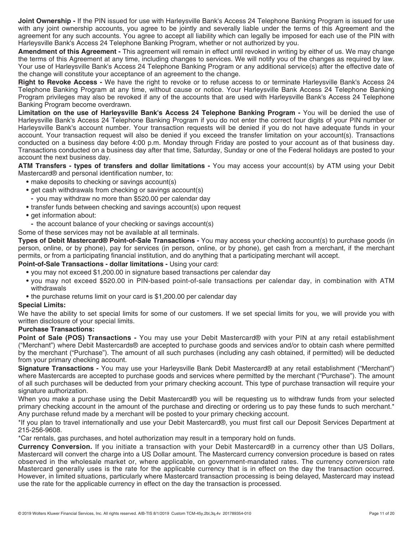**Joint Ownership -** If the PIN issued for use with Harleysville Bank's Access 24 Telephone Banking Program is issued for use with any joint ownership accounts, you agree to be jointly and severally liable under the terms of this Agreement and the agreement for any such accounts. You agree to accept all liability which can legally be imposed for each use of the PIN with Harleysville Bank's Access 24 Telephone Banking Program, whether or not authorized by you.

**Amendment of this Agreement -** This agreement will remain in effect until revoked in writing by either of us. We may change the terms of this Agreement at any time, including changes to services. We will notify you of the changes as required by law. Your use of Harleysville Bank's Access 24 Telephone Banking Program or any additional service(s) after the effective date of the change will constitute your acceptance of an agreement to the change.

**Right to Revoke Access -** We have the right to revoke or to refuse access to or terminate Harleysville Bank's Access 24 Telephone Banking Program at any time, without cause or notice. Your Harleysville Bank Access 24 Telephone Banking Program privileges may also be revoked if any of the accounts that are used with Harleysville Bank's Access 24 Telephone Banking Program become overdrawn.

**Limitation on the use of Harleysville Bank's Access 24 Telephone Banking Program -** You will be denied the use of Harleysville Bank's Access 24 Telephone Banking Program if you do not enter the correct four digits of your PIN number or Harleysville Bank's account number. Your transaction requests will be denied if you do not have adequate funds in your account. Your transaction request will also be denied if you exceed the transfer limitation on your account(s). Transactions conducted on a business day before 4:00 p.m. Monday through Friday are posted to your account as of that business day. Transactions conducted on a business day after that time, Saturday, Sunday or one of the Federal holidays are posted to your account the next business day.

**ATM Transfers - types of transfers and dollar limitations -** You may access your account(s) by ATM using your Debit Mastercard<sup>®</sup> and personal identification number, to:

- make deposits to checking or savings account(s)
- get cash withdrawals from checking or savings account(s)
- **-** you may withdraw no more than \$520.00 per calendar day
- transfer funds between checking and savings account(s) upon request
- get information about:
- **-** the account balance of your checking or savings account(s)

## Some of these services may not be available at all terminals.

**Types of Debit Mastercard® Point-of-Sale Transactions -** You may access your checking account(s) to purchase goods (in person, online, or by phone), pay for services (in person, online, or by phone), get cash from a merchant, if the merchant permits, or from a participating financial institution, and do anything that a participating merchant will accept.

## **Point-of-Sale Transactions - dollar limitations -** Using your card:

- you may not exceed \$1,200.00 in signature based transactions per calendar day
- you may not exceed \$520.00 in PIN-based point-of-sale transactions per calendar day, in combination with ATM withdrawals
- the purchase returns limit on your card is \$1,200.00 per calendar day

## **Special Limits:**

We have the ability to set special limits for some of our customers. If we set special limits for you, we will provide you with written disclosure of your special limits.

## **Purchase Transactions:**

**Point of Sale (POS) Transactions -** You may use your Debit Mastercard® with your PIN at any retail establishment ("Merchant") where Debit Mastercards® are accepted to purchase goods and services and/or to obtain cash where permitted by the merchant ("Purchase"). The amount of all such purchases (including any cash obtained, if permitted) will be deducted from your primary checking account.

**Signature Transactions -** You may use your Harleysville Bank Debit Mastercard® at any retail establishment ("Merchant") where Mastercards are accepted to purchase goods and services where permitted by the merchant ("Purchase"). The amount of all such purchases will be deducted from your primary checking account. This type of purchase transaction will require your signature authorization.

When you make a purchase using the Debit Mastercard® you will be requesting us to withdraw funds from your selected primary checking account in the amount of the purchase and directing or ordering us to pay these funds to such merchant.\* Any purchase refund made by a merchant will be posted to your primary checking account.

\*If you plan to travel internationally and use your Debit Mastercard®, you must first call our Deposit Services Department at 215-256-9608.

\*Car rentals, gas purchases, and hotel authorization may result in a temporary hold on funds.

**Currency Conversion.** If you initiate a transaction with your Debit Mastercard® in a currency other than US Dollars, Mastercard will convert the charge into a US Dollar amount. The Mastercard currency conversion procedure is based on rates observed in the wholesale market or, where applicable, on government-mandated rates. The currency conversion rate Mastercard generally uses is the rate for the applicable currency that is in effect on the day the transaction occurred. However, in limited situations, particularly where Mastercard transaction processing is being delayed, Mastercard may instead use the rate for the applicable currency in effect on the day the transaction is processed.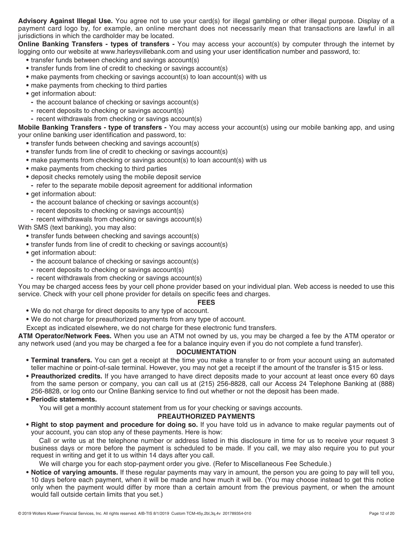**Advisory Against Illegal Use.** You agree not to use your card(s) for illegal gambling or other illegal purpose. Display of a payment card logo by, for example, an online merchant does not necessarily mean that transactions are lawful in all jurisdictions in which the cardholder may be located.

**Online Banking Transfers - types of transfers -** You may access your account(s) by computer through the internet by logging onto our website at [www.harleysvillebank.com](http://www.harleysvillebank.com) and using your user identification number and password, to:

- transfer funds between checking and savings account(s)
- transfer funds from line of credit to checking or savings account(s)
- make payments from checking or savings account(s) to loan account(s) with us
- make payments from checking to third parties
- get information about:
	- **-** the account balance of checking or savings account(s)
	- **-** recent deposits to checking or savings account(s)
- **-** recent withdrawals from checking or savings account(s)

**Mobile Banking Transfers - type of transfers -** You may access your account(s) using our mobile banking app, and using your online banking user identification and password, to:

- transfer funds between checking and savings account(s)
- transfer funds from line of credit to checking or savings account(s)
- make payments from checking or savings account(s) to loan account(s) with us
- make payments from checking to third parties
- deposit checks remotely using the mobile deposit service
- **-** refer to the separate mobile deposit agreement for additional information
- get information about:
	- **-** the account balance of checking or savings account(s)
	- **-** recent deposits to checking or savings account(s)
	- **-** recent withdrawals from checking or savings account(s)

With SMS (text banking), you may also:

- transfer funds between checking and savings account(s)
- transfer funds from line of credit to checking or savings account(s)
- get information about:
	- **-** the account balance of checking or savings account(s)
	- **-** recent deposits to checking or savings account(s)
	- **-** recent withdrawals from checking or savings account(s)

You may be charged access fees by your cell phone provider based on your individual plan. Web access is needed to use this service. Check with your cell phone provider for details on specific fees and charges.

#### **FEES**

- We do not charge for direct deposits to any type of account.
- We do not charge for preauthorized payments from any type of account.

Except as indicated elsewhere, we do not charge for these electronic fund transfers.

**ATM Operator/Network Fees.** When you use an ATM not owned by us, you may be charged a fee by the ATM operator or any network used (and you may be charged a fee for a balance inquiry even if you do not complete a fund transfer).

# **DOCUMENTATION**

- **Terminal transfers.** You can get a receipt at the time you make a transfer to or from your account using an automated teller machine or point-of-sale terminal. However, you may not get a receipt if the amount of the transfer is \$15 or less.
- **Preauthorized credits.** If you have arranged to have direct deposits made to your account at least once every 60 days from the same person or company, you can call us at (215) 256-8828, call our Access 24 Telephone Banking at (888) 256-8828, or log onto our Online Banking service to find out whether or not the deposit has been made.

#### **• Periodic statements.**

You will get a monthly account statement from us for your checking or savings accounts.

#### **PREAUTHORIZED PAYMENTS**

**• Right to stop payment and procedure for doing so.** If you have told us in advance to make regular payments out of your account, you can stop any of these payments. Here is how:

Call or write us at the telephone number or address listed in this disclosure in time for us to receive your request 3 business days or more before the payment is scheduled to be made. If you call, we may also require you to put your request in writing and get it to us within 14 days after you call.

We will charge you for each stop-payment order you give. (Refer to Miscellaneous Fee Schedule.)

**• Notice of varying amounts.** If these regular payments may vary in amount, the person you are going to pay will tell you, 10 days before each payment, when it will be made and how much it will be. (You may choose instead to get this notice only when the payment would differ by more than a certain amount from the previous payment, or when the amount would fall outside certain limits that you set.)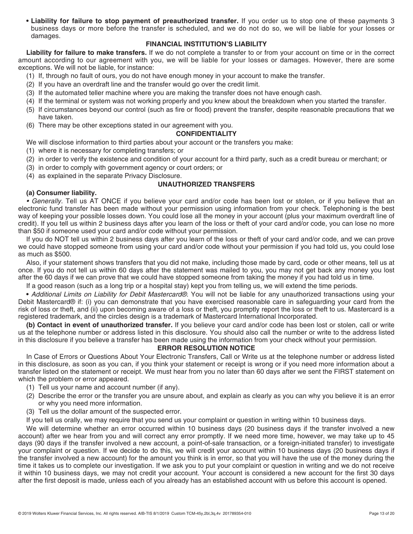**• Liability for failure to stop payment of preauthorized transfer.** If you order us to stop one of these payments 3 business days or more before the transfer is scheduled, and we do not do so, we will be liable for your losses or damages.

# **FINANCIAL INSTITUTION'S LIABILITY**

**Liability for failure to make transfers.** If we do not complete a transfer to or from your account on time or in the correct amount according to our agreement with you, we will be liable for your losses or damages. However, there are some exceptions. We will not be liable, for instance:

- (1) If, through no fault of ours, you do not have enough money in your account to make the transfer.
- (2) If you have an overdraft line and the transfer would go over the credit limit.
- (3) If the automated teller machine where you are making the transfer does not have enough cash.
- (4) If the terminal or system was not working properly and you knew about the breakdown when you started the transfer.
- (5) If circumstances beyond our control (such as fire or flood) prevent the transfer, despite reasonable precautions that we have taken.
- (6) There may be other exceptions stated in our agreement with you.

# **CONFIDENTIALITY**

We will disclose information to third parties about your account or the transfers you make:

- (1) where it is necessary for completing transfers; or
- (2) in order to verify the existence and condition of your account for a third party, such as a credit bureau or merchant; or
- (3) in order to comply with government agency or court orders; or
- (4) as explained in the separate Privacy Disclosure.

# **UNAUTHORIZED TRANSFERS**

# **(a) Consumer liability.**

*• Generally.* Tell us AT ONCE if you believe your card and/or code has been lost or stolen, or if you believe that an electronic fund transfer has been made without your permission using information from your check. Telephoning is the best way of keeping your possible losses down. You could lose all the money in your account (plus your maximum overdraft line of credit). If you tell us within 2 business days after you learn of the loss or theft of your card and/or code, you can lose no more than \$50 if someone used your card and/or code without your permission.

If you do NOT tell us within 2 business days after you learn of the loss or theft of your card and/or code, and we can prove we could have stopped someone from using your card and/or code without your permission if you had told us, you could lose as much as \$500.

Also, if your statement shows transfers that you did not make, including those made by card, code or other means, tell us at once. If you do not tell us within 60 days after the statement was mailed to you, you may not get back any money you lost after the 60 days if we can prove that we could have stopped someone from taking the money if you had told us in time.

If a good reason (such as a long trip or a hospital stay) kept you from telling us, we will extend the time periods.

**•** *Additional Limits on Liability for Debit Mastercard®.* You will not be liable for any unauthorized transactions using your Debit Mastercard® if: (i) you can demonstrate that you have exercised reasonable care in safeguarding your card from the risk of loss or theft, and (ii) upon becoming aware of a loss or theft, you promptly report the loss or theft to us. Mastercard is a registered trademark, and the circles design is a trademark of Mastercard International Incorporated.

**(b) Contact in event of unauthorized transfer.** If you believe your card and/or code has been lost or stolen, call or write us at the telephone number or address listed in this disclosure. You should also call the number or write to the address listed in this disclosure if you believe a transfer has been made using the information from your check without your permission.

# **ERROR RESOLUTION NOTICE**

In Case of Errors or Questions About Your Electronic Transfers, Call or Write us at the telephone number or address listed in this disclosure, as soon as you can, if you think your statement or receipt is wrong or if you need more information about a transfer listed on the statement or receipt. We must hear from you no later than 60 days after we sent the FIRST statement on which the problem or error appeared.

- (1) Tell us your name and account number (if any).
- (2) Describe the error or the transfer you are unsure about, and explain as clearly as you can why you believe it is an error or why you need more information.
- (3) Tell us the dollar amount of the suspected error.

If you tell us orally, we may require that you send us your complaint or question in writing within 10 business days.

We will determine whether an error occurred within 10 business days (20 business days if the transfer involved a new account) after we hear from you and will correct any error promptly. If we need more time, however, we may take up to 45 days (90 days if the transfer involved a new account, a point-of-sale transaction, or a foreign-initiated transfer) to investigate your complaint or question. If we decide to do this, we will credit your account within 10 business days (20 business days if the transfer involved a new account) for the amount you think is in error, so that you will have the use of the money during the time it takes us to complete our investigation. If we ask you to put your complaint or question in writing and we do not receive it within 10 business days, we may not credit your account. Your account is considered a new account for the first 30 days after the first deposit is made, unless each of you already has an established account with us before this account is opened.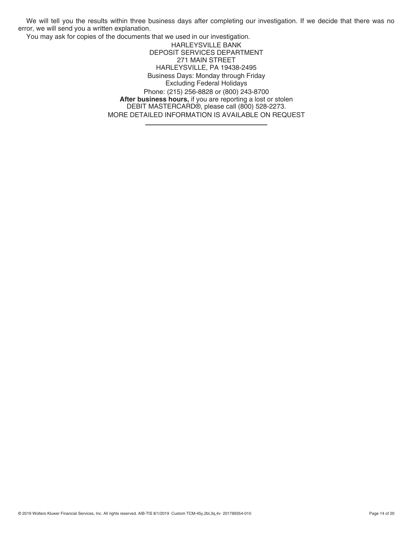We will tell you the results within three business days after completing our investigation. If we decide that there was no error, we will send you a written explanation.

You may ask for copies of the documents that we used in our investigation.

HARLEYSVILLE BANK DEPOSIT SERVICES DEPARTMENT 271 MAIN STREET HARLEYSVILLE, PA 19438-2495 Business Days: Monday through Friday Excluding Federal Holidays Phone: (215) 256-8828 or (800) 243-8700 **After business hours,** if you are reporting a lost or stolen DEBIT MASTERCARD®, please call (800) 528-2273. MORE DETAILED INFORMATION IS AVAILABLE ON REQUEST

—————————————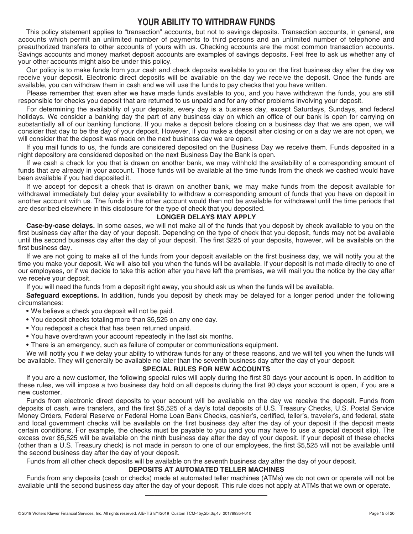# **YOUR ABILITY TO WITHDRAW FUNDS**

<span id="page-16-0"></span>This policy statement applies to "transaction" accounts, but not to savings deposits. Transaction accounts, in general, are accounts which permit an unlimited number of payments to third persons and an unlimited number of telephone and preauthorized transfers to other accounts of yours with us. Checking accounts are the most common transaction accounts. Savings accounts and money market deposit accounts are examples of savings deposits. Feel free to ask us whether any of your other accounts might also be under this policy.

Our policy is to make funds from your cash and check deposits available to you on the first business day after the day we receive your deposit. Electronic direct deposits will be available on the day we receive the deposit. Once the funds are available, you can withdraw them in cash and we will use the funds to pay checks that you have written.

Please remember that even after we have made funds available to you, and you have withdrawn the funds, you are still responsible for checks you deposit that are returned to us unpaid and for any other problems involving your deposit.

For determining the availability of your deposits, every day is a business day, except Saturdays, Sundays, and federal holidays. We consider a banking day the part of any business day on which an office of our bank is open for carrying on substantially all of our banking functions. If you make a deposit before closing on a business day that we are open, we will consider that day to be the day of your deposit. However, if you make a deposit after closing or on a day we are not open, we will consider that the deposit was made on the next business day we are open.

If you mail funds to us, the funds are considered deposited on the Business Day we receive them. Funds deposited in a night depository are considered deposited on the next Business Day the Bank is open.

If we cash a check for you that is drawn on another bank, we may withhold the availability of a corresponding amount of funds that are already in your account. Those funds will be available at the time funds from the check we cashed would have been available if you had deposited it.

If we accept for deposit a check that is drawn on another bank, we may make funds from the deposit available for withdrawal immediately but delay your availability to withdraw a corresponding amount of funds that you have on deposit in another account with us. The funds in the other account would then not be available for withdrawal until the time periods that are described elsewhere in this disclosure for the type of check that you deposited.

#### **LONGER DELAYS MAY APPLY**

**Case-by-case delays.** In some cases, we will not make all of the funds that you deposit by check available to you on the first business day after the day of your deposit. Depending on the type of check that you deposit, funds may not be available until the second business day after the day of your deposit. The first \$225 of your deposits, however, will be available on the first business day.

If we are not going to make all of the funds from your deposit available on the first business day, we will notify you at the time you make your deposit. We will also tell you when the funds will be available. If your deposit is not made directly to one of our employees, or if we decide to take this action after you have left the premises, we will mail you the notice by the day after we receive your deposit.

If you will need the funds from a deposit right away, you should ask us when the funds will be available.

**Safeguard exceptions.** In addition, funds you deposit by check may be delayed for a longer period under the following circumstances:

- We believe a check you deposit will not be paid.
- You deposit checks totaling more than \$5,525 on any one day.
- You redeposit a check that has been returned unpaid.
- You have overdrawn your account repeatedly in the last six months.

**•** There is an emergency, such as failure of computer or communications equipment.

We will notify you if we delay your ability to withdraw funds for any of these reasons, and we will tell you when the funds will be available. They will generally be available no later than the seventh business day after the day of your deposit.

## **SPECIAL RULES FOR NEW ACCOUNTS**

If you are a new customer, the following special rules will apply during the first 30 days your account is open. In addition to these rules, we will impose a two business day hold on all deposits during the first 90 days your account is open, if you are a new customer.

Funds from electronic direct deposits to your account will be available on the day we receive the deposit. Funds from deposits of cash, wire transfers, and the first \$5,525 of a day's total deposits of U.S. Treasury Checks, U.S. Postal Service Money Orders, Federal Reserve or Federal Home Loan Bank Checks, cashier's, certified, teller's, traveler's, and federal, state and local government checks will be available on the first business day after the day of your deposit if the deposit meets certain conditions. For example, the checks must be payable to you (and you may have to use a special deposit slip). The excess over \$5,525 will be available on the ninth business day after the day of your deposit. If your deposit of these checks (other than a U.S. Treasury check) is not made in person to one of our employees, the first \$5,525 will not be available until the second business day after the day of your deposit.

Funds from all other check deposits will be available on the seventh business day after the day of your deposit.

## **DEPOSITS AT AUTOMATED TELLER MACHINES**

Funds from any deposits (cash or checks) made at automated teller machines (ATMs) we do not own or operate will not be available until the second business day after the day of your deposit. This rule does not apply at ATMs that we own or operate.

—————————————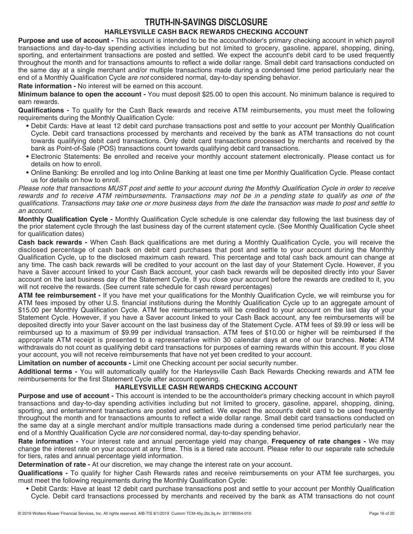# **TRUTH-IN-SAVINGS DISCLOSURE**

# **HARLEYSVILLE CASH BACK REWARDS CHECKING ACCOUNT**

<span id="page-17-0"></span>**Purpose and use of account -** This account is intended to be the accountholder's primary checking account in which payroll transactions and day-to-day spending activities including but not limited to grocery, gasoline, apparel, shopping, dining, sporting, and entertainment transactions are posted and settled. We expect the account's debit card to be used frequently throughout the month and for transactions amounts to reflect a wide dollar range. Small debit card transactions conducted on the same day at a single merchant and/or multiple transactions made during a condensed time period particularly near the end of a Monthly Qualification Cycle *are not* considered normal, day-to-day spending behavior.

**Rate information -** No interest will be earned on this account.

**Minimum balance to open the account -** You must deposit \$25.00 to open this account. No minimum balance is required to earn rewards.

**Qualifications -** To qualify for the Cash Back rewards and receive ATM reimbursements, you must meet the following requirements during the Monthly Qualification Cycle:

- Debit Cards: Have at least 12 debit card purchase transactions post and settle to your account per Monthly Qualification Cycle. Debit card transactions processed by merchants and received by the bank as ATM transactions do not count towards qualifying debit card transactions. Only debit card transactions processed by merchants and received by the bank as Point-of-Sale (POS) transactions count towards qualifying debit card transactions.
- Electronic Statements: Be enrolled and receive your monthly account statement electronically. Please contact us for details on how to enroll.
- Online Banking: Be enrolled and log into Online Banking at least one time per Monthly Qualification Cycle. Please contact us for details on how to enroll.

*Please note that transactions MUST post and settle to your account during the Monthly Qualification Cycle in order to receive rewards and to receive ATM reimbursements. Transactions may not be in a pending state to qualify as one of the qualifications. Transactions may take one or more business days from the date the transaction was made to post and settle to an account.* 

**Monthly Qualification Cycle -** Monthly Qualification Cycle schedule is one calendar day following the last business day of the prior statement cycle through the last business day of the current statement cycle. (See Monthly Qualification Cycle sheet for qualification dates)

**Cash back rewards -** When Cash Back qualifications are met during a Monthly Qualification Cycle, you will receive the disclosed percentage of cash back on debit card purchases that post and settle to your account during the Monthly Qualification Cycle, up to the disclosed maximum cash reward. This percentage and total cash back amount can change at any time. The cash back rewards will be credited to your account on the last day of your Statement Cycle. However, if you have a Saver account linked to your Cash Back account, your cash back rewards will be deposited directly into your Saver account on the last business day of the Statement Cycle. If you close your account before the rewards are credited to it, you will not receive the rewards. (See current rate schedule for cash reward percentages)

**ATM fee reimbursement -** If you have met your qualifications for the Monthly Qualification Cycle, we will reimburse you for ATM fees imposed by other U.S. financial institutions during the Monthly Qualification Cycle up to an aggregate amount of \$15.00 per Monthly Qualification Cycle. ATM fee reimbursements will be credited to your account on the last day of your Statement Cycle. However, if you have a Saver account linked to your Cash Back account, any fee reimbursements will be deposited directly into your Saver account on the last business day of the Statement Cycle. ATM fees of \$9.99 or less will be reimbursed up to a maximum of \$9.99 per individual transaction. ATM fees of \$10.00 or higher will be reimbursed if the appropriate ATM receipt is presented to a representative within 30 calendar days at one of our branches. **Note:** ATM withdrawals do not count as qualifying debit card transactions for purposes of earning rewards within this account. If you close your account, you will not receive reimbursements that have not yet been credited to your account.

**Limitation on number of accounts -** Limit one Checking account per social security number.

**Additional terms -** You will automatically qualify for the Harleysville Cash Back Rewards Checking rewards and ATM fee reimbursements for the first Statement Cycle after account opening.

#### **HARLEYSVILLE CASH REWARDS CHECKING ACCOUNT**

**Purpose and use of account -** This account is intended to be the accountholder's primary checking account in which payroll transactions and day-to-day spending activities including but not limited to grocery, gasoline, apparel, shopping, dining, sporting, and entertainment transactions are posted and settled. We expect the account's debit card to be used frequently throughout the month and for transactions amounts to reflect a wide dollar range. Small debit card transactions conducted on the same day at a single merchant and/or multiple transactions made during a condensed time period particularly near the end of a Monthly Qualification Cycle *are not* considered normal, day-to-day spending behavior.

**Rate information -** Your interest rate and annual percentage yield may change. **Frequency of rate changes -** We may change the interest rate on your account at any time. This is a tiered rate account. Please refer to our separate rate schedule for tiers, rates and annual percentage yield information.

**Determination of rate -** At our discretion, we may change the interest rate on your account.

**Qualifications -** To qualify for higher Cash Rewards rates and receive reimbursements on your ATM fee surcharges, you must meet the following requirements during the Monthly Qualification Cycle:

**•** Debit Cards: Have at least 12 debit card purchase transactions post and settle to your account per Monthly Qualification Cycle. Debit card transactions processed by merchants and received by the bank as ATM transactions do not count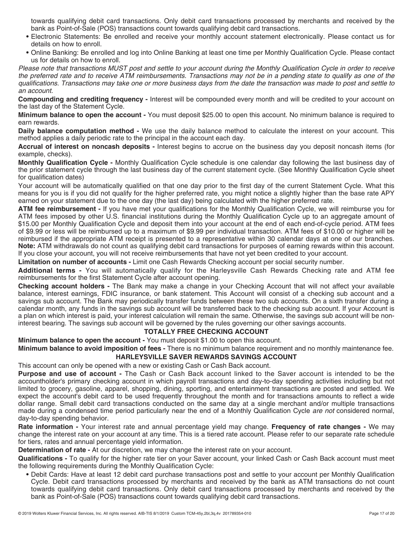<span id="page-18-0"></span>towards qualifying debit card transactions. Only debit card transactions processed by merchants and received by the bank as Point-of-Sale (POS) transactions count towards qualifying debit card transactions.

- Electronic Statements: Be enrolled and receive your monthly account statement electronically. Please contact us for details on how to enroll.
- Online Banking: Be enrolled and log into Online Banking at least one time per Monthly Qualification Cycle. Please contact us for details on how to enroll.

*Please note that transactions MUST post and settle to your account during the Monthly Qualification Cycle in order to receive the preferred rate and to receive ATM reimbursements. Transactions may not be in a pending state to qualify as one of the qualifications. Transactions may take one or more business days from the date the transaction was made to post and settle to an account.* 

**Compounding and crediting frequency -** Interest will be compounded every month and will be credited to your account on the last day of the Statement Cycle.

**Minimum balance to open the account -** You must deposit \$25.00 to open this account. No minimum balance is required to earn rewards.

**Daily balance computation method -** We use the daily balance method to calculate the interest on your account. This method applies a daily periodic rate to the principal in the account each day.

**Accrual of interest on noncash deposits -** Interest begins to accrue on the business day you deposit noncash items (for example, checks).

**Monthly Qualification Cycle -** Monthly Qualification Cycle schedule is one calendar day following the last business day of the prior statement cycle through the last business day of the current statement cycle. (See Monthly Qualification Cycle sheet for qualification dates)

Your account will be automatically qualified on that one day prior to the first day of the current Statement Cycle. What this means for you is if you did not qualify for the higher preferred rate, you might notice a slightly higher than the base rate APY earned on your statement due to the one day (the last day) being calculated with the higher preferred rate.

**ATM fee reimbursement -** If you have met your qualifications for the Monthly Qualification Cycle, we will reimburse you for ATM fees imposed by other U.S. financial institutions during the Monthly Qualification Cycle up to an aggregate amount of \$15.00 per Monthly Qualification Cycle and deposit them into your account at the end of each end-of-cycle period. ATM fees of \$9.99 or less will be reimbursed up to a maximum of \$9.99 per individual transaction. ATM fees of \$10.00 or higher will be reimbursed if the appropriate ATM receipt is presented to a representative within 30 calendar days at one of our branches. **Note:** ATM withdrawals do not count as qualifying debit card transactions for purposes of earning rewards within this account. If you close your account, you will not receive reimbursements that have not yet been credited to your account.

**Limitation on number of accounts -** Limit one Cash Rewards Checking account per social security number.

**Additional terms -** You will automatically qualify for the Harleysville Cash Rewards Checking rate and ATM fee reimbursements for the first Statement Cycle after account opening.

**Checking account holders -** The Bank may make a change in your Checking Account that will not affect your available balance, interest earnings, FDIC insurance, or bank statement. This Account will consist of a checking sub account and a savings sub account. The Bank may periodically transfer funds between these two sub accounts. On a sixth transfer during a calendar month, any funds in the savings sub account will be transferred back to the checking sub account. If your Account is a plan on which interest is paid, your interest calculation will remain the same. Otherwise, the savings sub account will be noninterest bearing. The savings sub account will be governed by the rules governing our other savings accounts.

# **TOTALLY FREE CHECKING ACCOUNT**

**Minimum balance to open the account -** You must deposit \$1.00 to open this account.

**Minimum balance to avoid imposition of fees -** There is no minimum balance requirement and no monthly maintenance fee. **HARLEYSVILLE SAVER REWARDS SAVINGS ACCOUNT** 

This account can only be opened with a new or existing Cash or Cash Back account.

**Purpose and use of account -** The Cash or Cash Back account linked to the Saver account is intended to be the accountholder's primary checking account in which payroll transactions and day-to-day spending activities including but not limited to grocery, gasoline, apparel, shopping, dining, sporting, and entertainment transactions are posted and settled. We expect the account's debit card to be used frequently throughout the month and for transactions amounts to reflect a wide dollar range. Small debit card transactions conducted on the same day at a single merchant and/or multiple transactions made during a condensed time period particularly near the end of a Monthly Qualification Cycle *are not* considered normal, day-to-day spending behavior.

**Rate information -** Your interest rate and annual percentage yield may change. **Frequency of rate changes -** We may change the interest rate on your account at any time. This is a tiered rate account. Please refer to our separate rate schedule for tiers, rates and annual percentage yield information.

**Determination of rate -** At our discretion, we may change the interest rate on your account.

**Qualifications -** To qualify for the higher rate tier on your Saver account, your linked Cash or Cash Back account must meet the following requirements during the Monthly Qualification Cycle:

**•** Debit Cards: Have at least 12 debit card purchase transactions post and settle to your account per Monthly Qualification Cycle. Debit card transactions processed by merchants and received by the bank as ATM transactions do not count towards qualifying debit card transactions. Only debit card transactions processed by merchants and received by the bank as Point-of-Sale (POS) transactions count towards qualifying debit card transactions.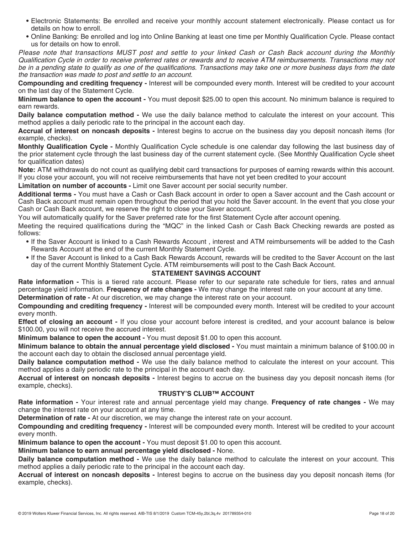- <span id="page-19-0"></span>**•** Electronic Statements: Be enrolled and receive your monthly account statement electronically. Please contact us for details on how to enroll.
- Online Banking: Be enrolled and log into Online Banking at least one time per Monthly Qualification Cycle. Please contact us for details on how to enroll.

*Please note that transactions MUST post and settle to your linked Cash or Cash Back account during the Monthly Qualification Cycle in order to receive preferred rates or rewards and to receive ATM reimbursements. Transactions may not be in a pending state to qualify as one of the qualifications. Transactions may take one or more business days from the date the transaction was made to post and settle to an account.* 

**Compounding and crediting frequency -** Interest will be compounded every month. Interest will be credited to your account on the last day of the Statement Cycle.

**Minimum balance to open the account -** You must deposit \$25.00 to open this account. No minimum balance is required to earn rewards.

**Daily balance computation method -** We use the daily balance method to calculate the interest on your account. This method applies a daily periodic rate to the principal in the account each day.

**Accrual of interest on noncash deposits -** Interest begins to accrue on the business day you deposit noncash items (for example, checks).

**Monthly Qualification Cycle -** Monthly Qualification Cycle schedule is one calendar day following the last business day of the prior statement cycle through the last business day of the current statement cycle. (See Monthly Qualification Cycle sheet for qualification dates)

**Note:** ATM withdrawals do not count as qualifying debit card transactions for purposes of earning rewards within this account. If you close your account, you will not receive reimbursements that have not yet been credited to your account

**Limitation on number of accounts -** Limit one Saver account per social security number.

**Additional terms -** You must have a Cash or Cash Back account in order to open a Saver account and the Cash account or Cash Back account must remain open throughout the period that you hold the Saver account. In the event that you close your Cash or Cash Back account, we reserve the right to close your Saver account.

You will automatically qualify for the Saver preferred rate for the first Statement Cycle after account opening.

Meeting the required qualifications during the "MQC" in the linked Cash or Cash Back Checking rewards are posted as follows:

- If the Saver Account is linked to a Cash Rewards Account , interest and ATM reimbursements will be added to the Cash Rewards Account at the end of the current Monthly Statement Cycle.
- If the Saver Account is linked to a Cash Back Rewards Account, rewards will be credited to the Saver Account on the last day of the current Monthly Statement Cycle. ATM reimbursements will post to the Cash Back Account.

#### **STATEMENT SAVINGS ACCOUNT**

**Rate information -** This is a tiered rate account. Please refer to our separate rate schedule for tiers, rates and annual percentage yield information. **Frequency of rate changes -** We may change the interest rate on your account at any time. **Determination of rate -** At our discretion, we may change the interest rate on your account.

**Compounding and crediting frequency -** Interest will be compounded every month. Interest will be credited to your account every month.

**Effect of closing an account -** If you close your account before interest is credited, and your account balance is below \$100.00, you will not receive the accrued interest.

**Minimum balance to open the account -** You must deposit \$1.00 to open this account.

**Minimum balance to obtain the annual percentage yield disclosed -** You must maintain a minimum balance of \$100.00 in the account each day to obtain the disclosed annual percentage yield.

**Daily balance computation method -** We use the daily balance method to calculate the interest on your account. This method applies a daily periodic rate to the principal in the account each day.

**Accrual of interest on noncash deposits -** Interest begins to accrue on the business day you deposit noncash items (for example, checks).

# **TRUSTY'S CLUB™ ACCOUNT**

**Rate information -** Your interest rate and annual percentage yield may change. **Frequency of rate changes -** We may change the interest rate on your account at any time.

**Determination of rate -** At our discretion, we may change the interest rate on your account.

**Compounding and crediting frequency -** Interest will be compounded every month. Interest will be credited to your account every month.

**Minimum balance to open the account -** You must deposit \$1.00 to open this account.

**Minimum balance to earn annual percentage yield disclosed -** None.

**Daily balance computation method -** We use the daily balance method to calculate the interest on your account. This method applies a daily periodic rate to the principal in the account each day.

**Accrual of interest on noncash deposits -** Interest begins to accrue on the business day you deposit noncash items (for example, checks).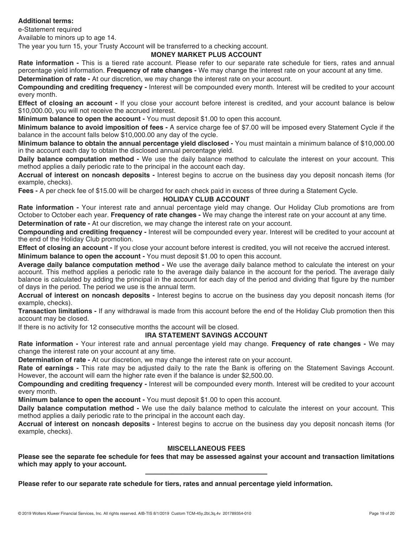# <span id="page-20-0"></span>**Additional terms:**

e-Statement required Available to minors up to age 14.

The year you turn 15, your Trusty Account will be transferred to a checking account.

## **MONEY MARKET PLUS ACCOUNT**

**Rate information -** This is a tiered rate account. Please refer to our separate rate schedule for tiers, rates and annual percentage yield information. **Frequency of rate changes -** We may change the interest rate on your account at any time.

**Determination of rate -** At our discretion, we may change the interest rate on your account.

**Compounding and crediting frequency -** Interest will be compounded every month. Interest will be credited to your account every month.

**Effect of closing an account -** If you close your account before interest is credited, and your account balance is below \$10,000.00, you will not receive the accrued interest.

**Minimum balance to open the account -** You must deposit \$1.00 to open this account.

**Minimum balance to avoid imposition of fees -** A service charge fee of \$7.00 will be imposed every Statement Cycle if the balance in the account falls below \$10,000.00 any day of the cycle.

**Minimum balance to obtain the annual percentage yield disclosed -** You must maintain a minimum balance of \$10,000.00 in the account each day to obtain the disclosed annual percentage yield.

**Daily balance computation method -** We use the daily balance method to calculate the interest on your account. This method applies a daily periodic rate to the principal in the account each day.

**Accrual of interest on noncash deposits -** Interest begins to accrue on the business day you deposit noncash items (for example, checks).

**Fees -** A per check fee of \$15.00 will be charged for each check paid in excess of three during a Statement Cycle.

#### **HOLIDAY CLUB ACCOUNT**

**Rate information -** Your interest rate and annual percentage yield may change. Our Holiday Club promotions are from October to October each year. **Frequency of rate changes -** We may change the interest rate on your account at any time.

**Determination of rate -** At our discretion, we may change the interest rate on your account.

**Compounding and crediting frequency -** Interest will be compounded every year. Interest will be credited to your account at the end of the Holiday Club promotion.

**Effect of closing an account -** If you close your account before interest is credited, you will not receive the accrued interest. **Minimum balance to open the account -** You must deposit \$1.00 to open this account.

**Average daily balance computation method -** We use the average daily balance method to calculate the interest on your account. This method applies a periodic rate to the average daily balance in the account for the period. The average daily balance is calculated by adding the principal in the account for each day of the period and dividing that figure by the number of days in the period. The period we use is the annual term.

**Accrual of interest on noncash deposits -** Interest begins to accrue on the business day you deposit noncash items (for example, checks).

**Transaction limitations -** If any withdrawal is made from this account before the end of the Holiday Club promotion then this account may be closed.

If there is no activity for 12 consecutive months the account will be closed.

# **IRA STATEMENT SAVINGS ACCOUNT**

**Rate information -** Your interest rate and annual percentage yield may change. **Frequency of rate changes -** We may change the interest rate on your account at any time.

**Determination of rate -** At our discretion, we may change the interest rate on your account.

**Rate of earnings -** This rate may be adjusted daily to the rate the Bank is offering on the Statement Savings Account. However, the account will earn the higher rate even if the balance is under \$2,500.00.

**Compounding and crediting frequency -** Interest will be compounded every month. Interest will be credited to your account every month.

**Minimum balance to open the account -** You must deposit \$1.00 to open this account.

**Daily balance computation method -** We use the daily balance method to calculate the interest on your account. This method applies a daily periodic rate to the principal in the account each day.

**Accrual of interest on noncash deposits -** Interest begins to accrue on the business day you deposit noncash items (for example, checks).

#### **MISCELLANEOUS FEES**

**Please see the separate fee schedule for fees that may be assessed against your account and transaction limitations which may apply to your account.** 

—————————————

**Please refer to our separate rate schedule for tiers, rates and annual percentage yield information.**